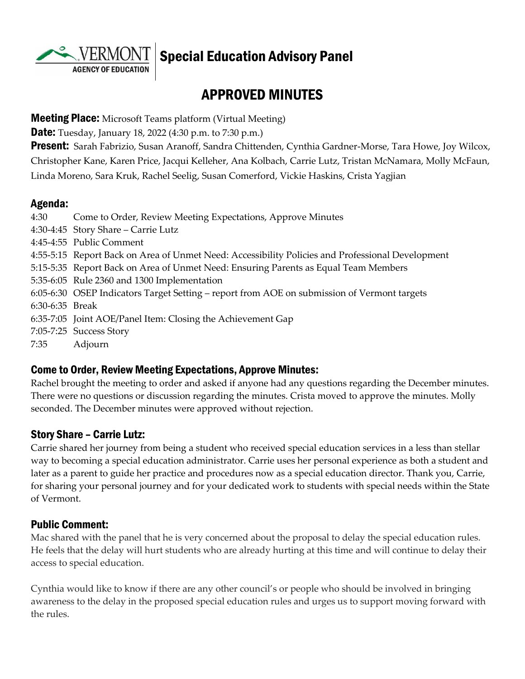**AGENCY OF EDUCATION** 

# Special Education Advisory Panel

# APPROVED MINUTES

#### **Meeting Place:** Microsoft Teams platform (Virtual Meeting)

**Date:** Tuesday, January 18, 2022 (4:30 p.m. to 7:30 p.m.)

**Present:** Sarah Fabrizio, Susan Aranoff, Sandra Chittenden, Cynthia Gardner-Morse, Tara Howe, Joy Wilcox, Christopher Kane, Karen Price, Jacqui Kelleher, Ana Kolbach, Carrie Lutz, Tristan McNamara, Molly McFaun, Linda Moreno, Sara Kruk, Rachel Seelig, Susan Comerford, Vickie Haskins, Crista Yagjian

### Agenda:

| 4:30            | Come to Order, Review Meeting Expectations, Approve Minutes                                      |
|-----------------|--------------------------------------------------------------------------------------------------|
|                 | 4:30-4:45 Story Share – Carrie Lutz                                                              |
|                 | 4:45-4:55 Public Comment                                                                         |
|                 | 4:55-5:15 Report Back on Area of Unmet Need: Accessibility Policies and Professional Development |
|                 | 5:15-5:35 Report Back on Area of Unmet Need: Ensuring Parents as Equal Team Members              |
|                 | 5:35-6:05 Rule 2360 and 1300 Implementation                                                      |
|                 | 6:05-6:30 OSEP Indicators Target Setting – report from AOE on submission of Vermont targets      |
| 6:30-6:35 Break |                                                                                                  |
|                 | 6:35-7:05 Joint AOE/Panel Item: Closing the Achievement Gap                                      |
|                 | 7:05-7:25 Success Story                                                                          |
| 7:35            | Adjourn                                                                                          |
|                 |                                                                                                  |

### Come to Order, Review Meeting Expectations, Approve Minutes:

Rachel brought the meeting to order and asked if anyone had any questions regarding the December minutes. There were no questions or discussion regarding the minutes. Crista moved to approve the minutes. Molly seconded. The December minutes were approved without rejection.

### Story Share – Carrie Lutz:

Carrie shared her journey from being a student who received special education services in a less than stellar way to becoming a special education administrator. Carrie uses her personal experience as both a student and later as a parent to guide her practice and procedures now as a special education director. Thank you, Carrie, for sharing your personal journey and for your dedicated work to students with special needs within the State of Vermont.

### Public Comment:

Mac shared with the panel that he is very concerned about the proposal to delay the special education rules. He feels that the delay will hurt students who are already hurting at this time and will continue to delay their access to special education.

Cynthia would like to know if there are any other council's or people who should be involved in bringing awareness to the delay in the proposed special education rules and urges us to support moving forward with the rules.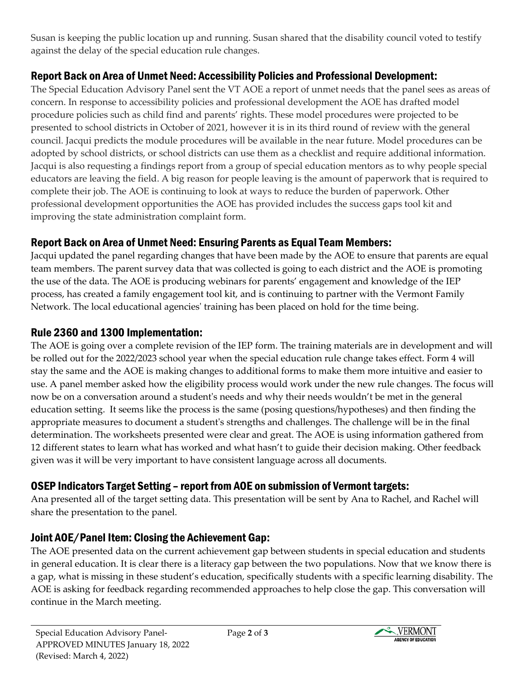Susan is keeping the public location up and running. Susan shared that the disability council voted to testify against the delay of the special education rule changes.

## Report Back on Area of Unmet Need: Accessibility Policies and Professional Development:

The Special Education Advisory Panel sent the VT AOE a report of unmet needs that the panel sees as areas of concern. In response to accessibility policies and professional development the AOE has drafted model procedure policies such as child find and parents' rights. These model procedures were projected to be presented to school districts in October of 2021, however it is in its third round of review with the general council. Jacqui predicts the module procedures will be available in the near future. Model procedures can be adopted by school districts, or school districts can use them as a checklist and require additional information. Jacqui is also requesting a findings report from a group of special education mentors as to why people special educators are leaving the field. A big reason for people leaving is the amount of paperwork that is required to complete their job. The AOE is continuing to look at ways to reduce the burden of paperwork. Other professional development opportunities the AOE has provided includes the success gaps tool kit and improving the state administration complaint form.

# Report Back on Area of Unmet Need: Ensuring Parents as Equal Team Members:

Jacqui updated the panel regarding changes that have been made by the AOE to ensure that parents are equal team members. The parent survey data that was collected is going to each district and the AOE is promoting the use of the data. The AOE is producing webinars for parents' engagement and knowledge of the IEP process, has created a family engagement tool kit, and is continuing to partner with the Vermont Family Network. The local educational agencies' training has been placed on hold for the time being.

## Rule 2360 and 1300 Implementation:

The AOE is going over a complete revision of the IEP form. The training materials are in development and will be rolled out for the 2022/2023 school year when the special education rule change takes effect. Form 4 will stay the same and the AOE is making changes to additional forms to make them more intuitive and easier to use. A panel member asked how the eligibility process would work under the new rule changes. The focus will now be on a conversation around a student's needs and why their needs wouldn't be met in the general education setting. It seems like the process is the same (posing questions/hypotheses) and then finding the appropriate measures to document a student's strengths and challenges. The challenge will be in the final determination. The worksheets presented were clear and great. The AOE is using information gathered from 12 different states to learn what has worked and what hasn't to guide their decision making. Other feedback given was it will be very important to have consistent language across all documents.

# OSEP Indicators Target Setting – report from AOE on submission of Vermont targets:

Ana presented all of the target setting data. This presentation will be sent by Ana to Rachel, and Rachel will share the presentation to the panel.

## Joint AOE/Panel Item: Closing the Achievement Gap:

The AOE presented data on the current achievement gap between students in special education and students in general education. It is clear there is a literacy gap between the two populations. Now that we know there is a gap, what is missing in these student's education, specifically students with a specific learning disability. The AOE is asking for feedback regarding recommended approaches to help close the gap. This conversation will continue in the March meeting.